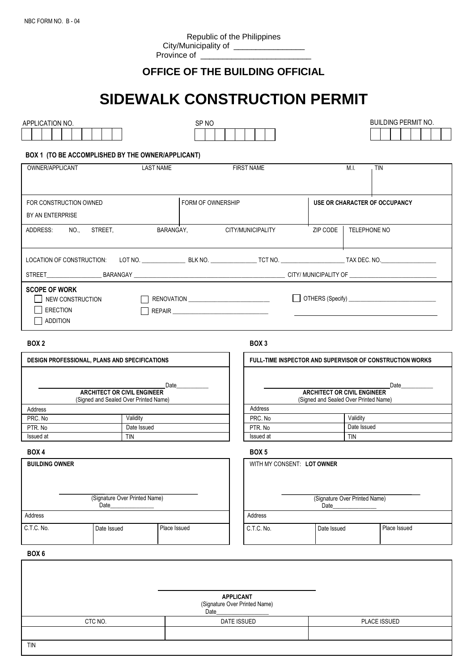# **OFFICE OF THE BUILDING OFFICIAL**

# **SIDEWALK CONSTRUCTION PERMIT**

| SP NO<br>APPLICATION NO.                          |                                             |                 |                                                 |                                                          |                               |            | <b>BUILDING PERMIT NO.</b> |              |  |  |  |
|---------------------------------------------------|---------------------------------------------|-----------------|-------------------------------------------------|----------------------------------------------------------|-------------------------------|------------|----------------------------|--------------|--|--|--|
|                                                   |                                             |                 |                                                 |                                                          |                               |            |                            |              |  |  |  |
|                                                   |                                             |                 |                                                 |                                                          |                               |            |                            |              |  |  |  |
| BOX 1 (TO BE ACCOMPLISHED BY THE OWNER/APPLICANT) |                                             |                 |                                                 |                                                          |                               |            |                            |              |  |  |  |
|                                                   | <b>LAST NAME</b>                            |                 | <b>FIRST NAME</b>                               |                                                          |                               | M.I.       |                            |              |  |  |  |
| OWNER/APPLICANT                                   |                                             |                 |                                                 |                                                          |                               |            | <b>TIN</b>                 |              |  |  |  |
|                                                   |                                             |                 |                                                 |                                                          |                               |            |                            |              |  |  |  |
|                                                   |                                             |                 |                                                 |                                                          |                               |            |                            |              |  |  |  |
|                                                   | FORM OF OWNERSHIP<br>FOR CONSTRUCTION OWNED |                 |                                                 |                                                          | USE OR CHARACTER OF OCCUPANCY |            |                            |              |  |  |  |
| BY AN ENTERPRISE                                  |                                             |                 |                                                 |                                                          |                               |            |                            |              |  |  |  |
|                                                   |                                             |                 |                                                 |                                                          |                               |            |                            |              |  |  |  |
| ADDRESS:                                          | NO., STREET,                                | BARANGAY,       | CITY/MUNICIPALITY<br>ZIP CODE  <br>TELEPHONE NO |                                                          |                               |            |                            |              |  |  |  |
|                                                   |                                             |                 |                                                 |                                                          |                               |            |                            |              |  |  |  |
|                                                   |                                             |                 |                                                 |                                                          |                               |            |                            |              |  |  |  |
|                                                   |                                             |                 |                                                 |                                                          |                               |            |                            |              |  |  |  |
|                                                   |                                             |                 |                                                 |                                                          |                               |            |                            |              |  |  |  |
|                                                   |                                             |                 |                                                 |                                                          |                               |            |                            |              |  |  |  |
| <b>SCOPE OF WORK</b><br>NEW CONSTRUCTION          |                                             |                 |                                                 |                                                          |                               |            |                            |              |  |  |  |
|                                                   |                                             |                 |                                                 |                                                          |                               |            |                            |              |  |  |  |
| <b>ERECTION</b>                                   |                                             |                 |                                                 |                                                          |                               |            |                            |              |  |  |  |
| <b>ADDITION</b>                                   |                                             |                 |                                                 |                                                          |                               |            |                            |              |  |  |  |
|                                                   |                                             |                 |                                                 |                                                          |                               |            |                            |              |  |  |  |
| BOX <sub>2</sub>                                  |                                             |                 | BOX 3                                           |                                                          |                               |            |                            |              |  |  |  |
| DESIGN PROFESSIONAL, PLANS AND SPECIFICATIONS     |                                             |                 |                                                 | FULL-TIME INSPECTOR AND SUPERVISOR OF CONSTRUCTION WORKS |                               |            |                            |              |  |  |  |
|                                                   |                                             |                 |                                                 |                                                          |                               |            |                            |              |  |  |  |
|                                                   |                                             | Date___________ |                                                 |                                                          |                               |            |                            |              |  |  |  |
| <b>ARCHITECT OR CIVIL ENGINEER</b>                |                                             |                 |                                                 | Date___________<br><b>ARCHITECT OR CIVIL ENGINEER</b>    |                               |            |                            |              |  |  |  |
| (Signed and Sealed Over Printed Name)             |                                             |                 |                                                 | (Signed and Sealed Over Printed Name)                    |                               |            |                            |              |  |  |  |
| Address                                           |                                             |                 | Address                                         |                                                          |                               |            |                            |              |  |  |  |
| PRC. No                                           | Validity                                    |                 |                                                 | PRC. No                                                  |                               |            | Validity<br>Date Issued    |              |  |  |  |
| PTR. No.                                          |                                             | Date Issued     |                                                 | PTR. No<br>Issued at                                     |                               |            |                            |              |  |  |  |
| Issued at                                         | <b>TIN</b>                                  |                 |                                                 |                                                          |                               | <b>TIN</b> |                            |              |  |  |  |
| BOX 4                                             |                                             |                 | BOX <sub>5</sub>                                |                                                          |                               |            |                            |              |  |  |  |
| <b>BUILDING OWNER</b>                             |                                             |                 |                                                 | WITH MY CONSENT: LOT OWNER                               |                               |            |                            |              |  |  |  |
|                                                   |                                             |                 |                                                 |                                                          |                               |            |                            |              |  |  |  |
|                                                   |                                             |                 |                                                 |                                                          |                               |            |                            |              |  |  |  |
|                                                   |                                             |                 |                                                 |                                                          |                               |            |                            |              |  |  |  |
| (Signature Over Printed Name)<br>Date             |                                             |                 |                                                 | (Signature Over Printed Name)<br>Date                    |                               |            |                            |              |  |  |  |
| Address                                           |                                             |                 |                                                 | Address                                                  |                               |            |                            |              |  |  |  |
|                                                   |                                             |                 |                                                 |                                                          |                               |            |                            |              |  |  |  |
| C.T.C. No.                                        | Date Issued                                 | Place Issued    | C.T.C. No.                                      |                                                          | Date Issued                   |            |                            | Place Issued |  |  |  |
|                                                   |                                             |                 |                                                 |                                                          |                               |            |                            |              |  |  |  |
| BOX 6                                             |                                             |                 |                                                 |                                                          |                               |            |                            |              |  |  |  |
|                                                   |                                             |                 |                                                 |                                                          |                               |            |                            |              |  |  |  |
|                                                   |                                             |                 |                                                 |                                                          |                               |            |                            |              |  |  |  |

**APPLICANT** (Signature Over Printed Name) Date\_\_\_\_\_\_\_\_\_\_\_\_\_\_\_\_\_\_

DATE ISSUED **PLACE ISSUED** 

CTC NO.

TIN